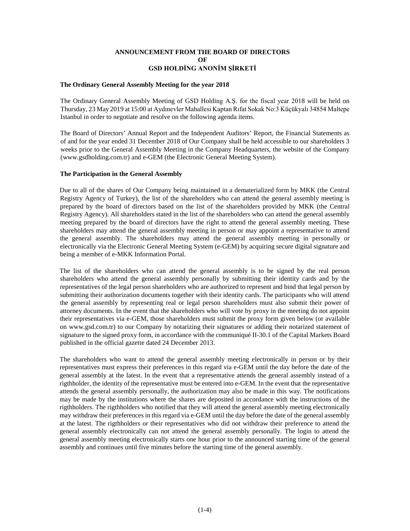# **ANNOUNCEMENT FROM THE BOARD OF DIRECTORS OF GSD HOLDİNG ANONİM ŞİRKETİ**

#### **The Ordinary General Assembly Meeting for the year 2018**

The Ordinary General Assembly Meeting of GSD Holding A.Ş. for the fiscal year 2018 will be held on Thursday, 23 May 2019 at 15:00 at Aydınevler Mahallesi Kaptan Rıfat Sokak No:3 Küçükyalı 34854 Maltepe Istanbul in order to negotiate and resolve on the following agenda items.

The Board of Directors' Annual Report and the Independent Auditors' Report, the Financial Statements as of and for the year ended 31 December 2018 of Our Company shall be held accessible to our shareholders 3 weeks prior to the General Assembly Meeting in the Company Headquarters, the website of the Company (www.gsdholding.com.tr) and e-GEM (the Electronic General Meeting System).

### **The Participation in the General Assembly**

Due to all of the shares of Our Company being maintained in a dematerialized form by MKK (the Central Registry Agency of Turkey), the list of the shareholders who can attend the general assembly meeting is prepared by the board of directors based on the list of the shareholders provided by MKK (the Central Registry Agency). All shareholders stated in the list of the shareholders who can attend the general assembly meeting prepared by the board of directors have the right to attend the general assembly meeting. These shareholders may attend the general assembly meeting in person or may appoint a representative to attend the general assembly. The shareholders may attend the general assembly meeting in personally or electronically via the Electronic General Meeting System (e-GEM) by acquiring secure digital signature and being a member of e-MKK Information Portal.

The list of the shareholders who can attend the general assembly is to be signed by the real person shareholders who attend the general assembly personally by submitting their identity cards and by the representatives of the legal person shareholders who are authorized to represent and bind that legal person by submitting their authorization documents together with their identity cards. The participants who will attend the general assembly by representing real or legal person shareholders must also submit their power of attorney documents. In the event that the shareholders who will vote by proxy in the meeting do not appoint their representatives via e-GEM, those shareholders must submit the proxy form given below (or available on www.gsd.com.tr) to our Company by notarizing their signatures or adding their notarized statement of signature to the signed proxy form, in accordance with the communiqué II-30.1 of the Capital Markets Board published in the official gazette dated 24 December 2013.

The shareholders who want to attend the general assembly meeting electronically in person or by their representatives must express their preferences in this regard via e-GEM until the day before the date of the general assembly at the latest. In the event that a representative attends the general assembly instead of a rigthholder, the identity of the representative must be entered into e-GEM. In the event that the representative attends the general assembly personally, the authorization may also be made in this way. The notifications may be made by the institutions where the shares are deposited in accordance with the instructions of the rigthholders. The rigthholders who notified that they will attend the general assembly meeting electronically may withdraw their preferences in this regard via e-GEM until the day before the date of the general assembly at the latest. The rigthholders or their representatives who did not withdraw their preference to attend the general assembly electronically can not attend the general assembly personally. The login to attend the general assembly meeting electronically starts one hour prior to the announced starting time of the general assembly and continues until five minutes before the starting time of the general assembly.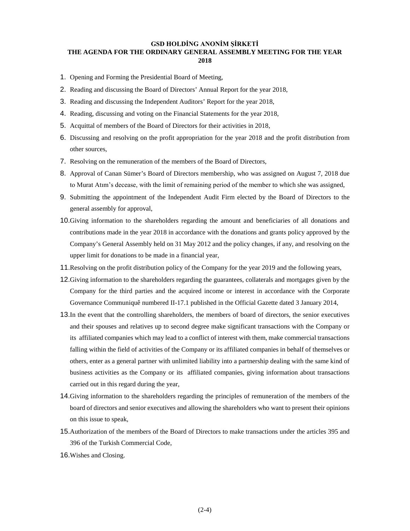#### **GSD HOLDİNG ANONİM ŞİRKETİ**

### **THE AGENDA FOR THE ORDINARY GENERAL ASSEMBLY MEETING FOR THE YEAR 2018**

- 1. Opening and Forming the Presidential Board of Meeting,
- 2. Reading and discussing the Board of Directors' Annual Report for the year 2018,
- 3. Reading and discussing the Independent Auditors' Report for the year 2018,
- 4. Reading, discussing and voting on the Financial Statements for the year 2018,
- 5. Acquittal of members of the Board of Directors for their activities in 2018,
- 6. Discussing and resolving on the profit appropriation for the year 2018 and the profit distribution from other sources,
- 7. Resolving on the remuneration of the members of the Board of Directors,
- 8. Approval of Canan Sümer's Board of Directors membership, who was assigned on August 7, 2018 due to Murat Atım's decease, with the limit of remaining period of the member to which she was assigned,
- 9. Submitting the appointment of the Independent Audit Firm elected by the Board of Directors to the general assembly for approval,
- 10.Giving information to the shareholders regarding the amount and beneficiaries of all donations and contributions made in the year 2018 in accordance with the donations and grants policy approved by the Company's General Assembly held on 31 May 2012 and the policy changes, if any, and resolving on the upper limit for donations to be made in a financial year,
- 11.Resolving on the profit distribution policy of the Company for the year 2019 and the following years,
- 12.Giving information to the shareholders regarding the guarantees, collaterals and mortgages given by the Company for the third parties and the acquired income or interest in accordance with the Corporate Governance Communiquê numbered II-17.1 published in the Official Gazette dated 3 January 2014,
- 13.In the event that the controlling shareholders, the members of board of directors, the senior executives and their spouses and relatives up to second degree make significant transactions with the Company or its affiliated companies which may lead to a conflict of interest with them, make commercial transactions falling within the field of activities of the Company or its affiliated companies in behalf of themselves or others, enter as a general partner with unlimited liability into a partnership dealing with the same kind of business activities as the Company or its affiliated companies, giving information about transactions carried out in this regard during the year,
- 14.Giving information to the shareholders regarding the principles of remuneration of the members of the board of directors and senior executives and allowing the shareholders who want to present their opinions on this issue to speak,
- 15.Authorization of the members of the Board of Directors to make transactions under the articles 395 and 396 of the Turkish Commercial Code,
- 16.Wishes and Closing.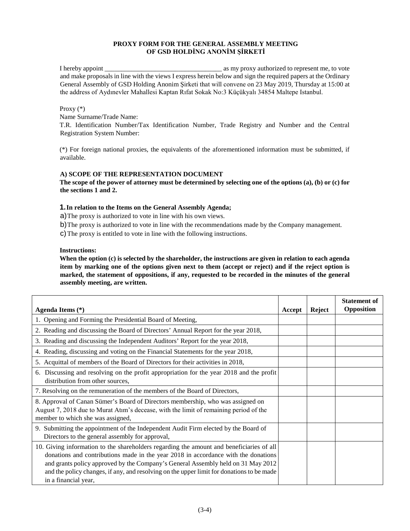# **PROXY FORM FOR THE GENERAL ASSEMBLY MEETING OF GSD HOLDİNG ANONİM ŞİRKETİ**

I hereby appoint \_\_\_\_\_\_\_\_\_\_\_\_\_\_\_\_\_\_\_\_\_\_\_\_\_\_\_\_\_\_\_\_\_\_\_ as my proxy authorized to represent me, to vote and make proposals in line with the views I express herein below and sign the required papers at the Ordinary General Assembly of GSD Holding Anonim Şirketi that will convene on 23 May 2019, Thursday at 15:00 at the address of Aydınevler Mahallesi Kaptan Rıfat Sokak No:3 Küçükyalı 34854 Maltepe Istanbul.

## Proxy (\*)

Name Surname/Trade Name:

T.R. Identification Number/Tax Identification Number, Trade Registry and Number and the Central Registration System Number:

(\*) For foreign national proxies, the equivalents of the aforementioned information must be submitted, if available.

## **A) SCOPE OF THE REPRESENTATION DOCUMENT**

**The scope of the power of attorney must be determined by selecting one of the options (a), (b) or (c) for the sections 1 and 2.** 

# **1.In relation to the Items on the General Assembly Agenda;**

a)The proxy is authorized to vote in line with his own views.

b)The proxy is authorized to vote in line with the recommendations made by the Company management.

c)The proxy is entitled to vote in line with the following instructions.

### **Instructions:**

**When the option (c) is selected by the shareholder, the instructions are given in relation to each agenda item by marking one of the options given next to them (accept or reject) and if the reject option is marked, the statement of oppositions, if any, requested to be recorded in the minutes of the general assembly meeting, are written.** 

| Agenda Items (*)                                                                                                                                                                                                                                                                                                                                                                        | Accept | <b>Reject</b> | <b>Statement of</b><br><b>Opposition</b> |
|-----------------------------------------------------------------------------------------------------------------------------------------------------------------------------------------------------------------------------------------------------------------------------------------------------------------------------------------------------------------------------------------|--------|---------------|------------------------------------------|
| 1. Opening and Forming the Presidential Board of Meeting,                                                                                                                                                                                                                                                                                                                               |        |               |                                          |
| 2. Reading and discussing the Board of Directors' Annual Report for the year 2018,                                                                                                                                                                                                                                                                                                      |        |               |                                          |
| 3. Reading and discussing the Independent Auditors' Report for the year 2018,                                                                                                                                                                                                                                                                                                           |        |               |                                          |
| 4. Reading, discussing and voting on the Financial Statements for the year 2018,                                                                                                                                                                                                                                                                                                        |        |               |                                          |
| 5. Acquittal of members of the Board of Directors for their activities in 2018,                                                                                                                                                                                                                                                                                                         |        |               |                                          |
| 6. Discussing and resolving on the profit appropriation for the year 2018 and the profit<br>distribution from other sources,                                                                                                                                                                                                                                                            |        |               |                                          |
| 7. Resolving on the remuneration of the members of the Board of Directors,                                                                                                                                                                                                                                                                                                              |        |               |                                          |
| 8. Approval of Canan Sümer's Board of Directors membership, who was assigned on<br>August 7, 2018 due to Murat Atim's decease, with the limit of remaining period of the<br>member to which she was assigned,                                                                                                                                                                           |        |               |                                          |
| 9. Submitting the appointment of the Independent Audit Firm elected by the Board of<br>Directors to the general assembly for approval,                                                                                                                                                                                                                                                  |        |               |                                          |
| 10. Giving information to the shareholders regarding the amount and beneficiaries of all<br>donations and contributions made in the year 2018 in accordance with the donations<br>and grants policy approved by the Company's General Assembly held on 31 May 2012<br>and the policy changes, if any, and resolving on the upper limit for donations to be made<br>in a financial year, |        |               |                                          |